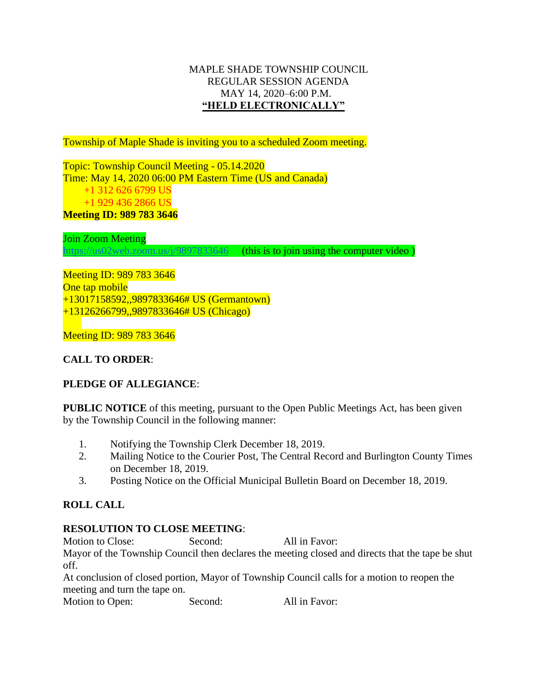# MAPLE SHADE TOWNSHIP COUNCIL REGULAR SESSION AGENDA MAY 14, 2020–6:00 P.M. **"HELD ELECTRONICALLY"**

Township of Maple Shade is inviting you to a scheduled Zoom meeting.

Topic: Township Council Meeting - 05.14.2020 Time: May 14, 2020 06:00 PM Eastern Time (US and Canada) +1 312 626 6799 US +1 929 436 2866 US **Meeting ID: 989 783 3646**

Join Zoom Meeting

<https://us02web.zoom.us/j/9897833646>(this is to join using the computer video)

Meeting ID: 989 783 3646 One tap mobile +13017158592,,9897833646# US (Germantown) +13126266799,,9897833646# US (Chicago)

Meeting ID: 989 783 3646

# **CALL TO ORDER**:

# **PLEDGE OF ALLEGIANCE**:

**PUBLIC NOTICE** of this meeting, pursuant to the Open Public Meetings Act, has been given by the Township Council in the following manner:

- 1. Notifying the Township Clerk December 18, 2019.
- 2. Mailing Notice to the Courier Post, The Central Record and Burlington County Times on December 18, 2019.
- 3. Posting Notice on the Official Municipal Bulletin Board on December 18, 2019.

# **ROLL CALL**

# **RESOLUTION TO CLOSE MEETING**:

Motion to Close: Second: All in Favor:

Mayor of the Township Council then declares the meeting closed and directs that the tape be shut off.

At conclusion of closed portion, Mayor of Township Council calls for a motion to reopen the meeting and turn the tape on.

Motion to Open: Second: All in Favor: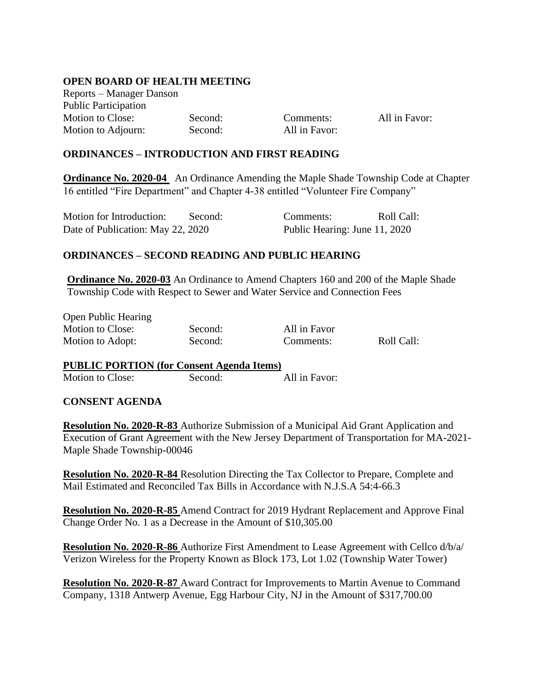# **OPEN BOARD OF HEALTH MEETING**

Reports – Manager Danson Public Participation Motion to Close: Second: Comments: All in Favor: Motion to Adjourn: Second: All in Favor:

### **ORDINANCES – INTRODUCTION AND FIRST READING**

**Ordinance No. 2020-04** An Ordinance Amending the Maple Shade Township Code at Chapter 16 entitled "Fire Department" and Chapter 4-38 entitled "Volunteer Fire Company"

| Motion for Introduction:          | Second: | Comments:                     | Roll Call: |
|-----------------------------------|---------|-------------------------------|------------|
| Date of Publication: May 22, 2020 |         | Public Hearing: June 11, 2020 |            |

#### **ORDINANCES – SECOND READING AND PUBLIC HEARING**

**Ordinance No. 2020-03** An Ordinance to Amend Chapters 160 and 200 of the Maple Shade Township Code with Respect to Sewer and Water Service and Connection Fees

Open Public Hearing Motion to Close: Second: All in Favor Motion to Adopt: Second: Comments: Roll Call:

#### **PUBLIC PORTION (for Consent Agenda Items)**

Motion to Close: Second: All in Favor:

# **CONSENT AGENDA**

**Resolution No. 2020-R-83** Authorize Submission of a Municipal Aid Grant Application and Execution of Grant Agreement with the New Jersey Department of Transportation for MA-2021- Maple Shade Township-00046

**Resolution No. 2020-R-84** Resolution Directing the Tax Collector to Prepare, Complete and Mail Estimated and Reconciled Tax Bills in Accordance with N.J.S.A 54:4-66.3

**Resolution No. 2020-R-85** Amend Contract for 2019 Hydrant Replacement and Approve Final Change Order No. 1 as a Decrease in the Amount of \$10,305.00

**Resolution No. 2020-R-86** Authorize First Amendment to Lease Agreement with Cellco d/b/a/ Verizon Wireless for the Property Known as Block 173, Lot 1.02 (Township Water Tower)

**Resolution No. 2020-R-87** Award Contract for Improvements to Martin Avenue to Command Company, 1318 Antwerp Avenue, Egg Harbour City, NJ in the Amount of \$317,700.00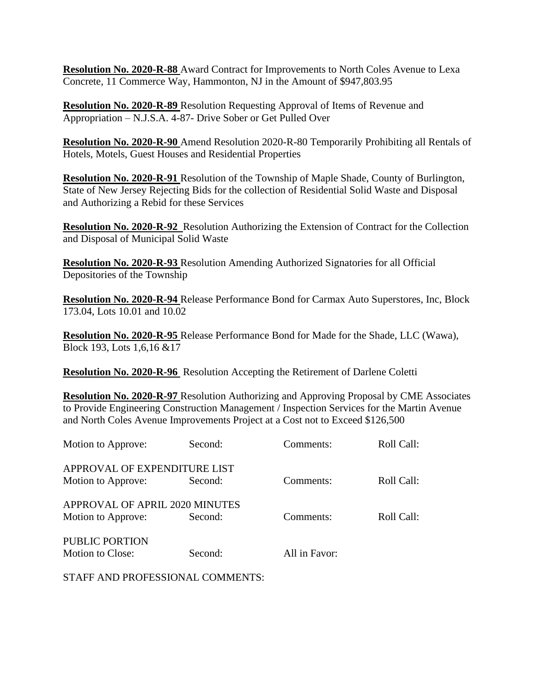**Resolution No. 2020-R-88** Award Contract for Improvements to North Coles Avenue to Lexa Concrete, 11 Commerce Way, Hammonton, NJ in the Amount of \$947,803.95

**Resolution No. 2020-R-89** Resolution Requesting Approval of Items of Revenue and Appropriation – N.J.S.A. 4-87- Drive Sober or Get Pulled Over

**Resolution No. 2020-R-90** Amend Resolution 2020-R-80 Temporarily Prohibiting all Rentals of Hotels, Motels, Guest Houses and Residential Properties

**Resolution No. 2020-R-91** Resolution of the Township of Maple Shade, County of Burlington, State of New Jersey Rejecting Bids for the collection of Residential Solid Waste and Disposal and Authorizing a Rebid for these Services

**Resolution No. 2020-R-92** Resolution Authorizing the Extension of Contract for the Collection and Disposal of Municipal Solid Waste

**Resolution No. 2020-R-93** Resolution Amending Authorized Signatories for all Official Depositories of the Township

**Resolution No. 2020-R-94** Release Performance Bond for Carmax Auto Superstores, Inc, Block 173.04, Lots 10.01 and 10.02

**Resolution No. 2020-R-95** Release Performance Bond for Made for the Shade, LLC (Wawa), Block 193, Lots 1,6,16 &17

**Resolution No. 2020-R-96** Resolution Accepting the Retirement of Darlene Coletti

**Resolution No. 2020-R-97** Resolution Authorizing and Approving Proposal by CME Associates to Provide Engineering Construction Management / Inspection Services for the Martin Avenue and North Coles Avenue Improvements Project at a Cost not to Exceed \$126,500

| Motion to Approve:                                   | Second: | Comments:     | Roll Call: |
|------------------------------------------------------|---------|---------------|------------|
| APPROVAL OF EXPENDITURE LIST<br>Motion to Approve:   | Second: | Comments:     | Roll Call: |
| APPROVAL OF APRIL 2020 MINUTES<br>Motion to Approve: | Second: | Comments:     | Roll Call: |
| PUBLIC PORTION<br>Motion to Close:                   | Second: | All in Favor: |            |

STAFF AND PROFESSIONAL COMMENTS: